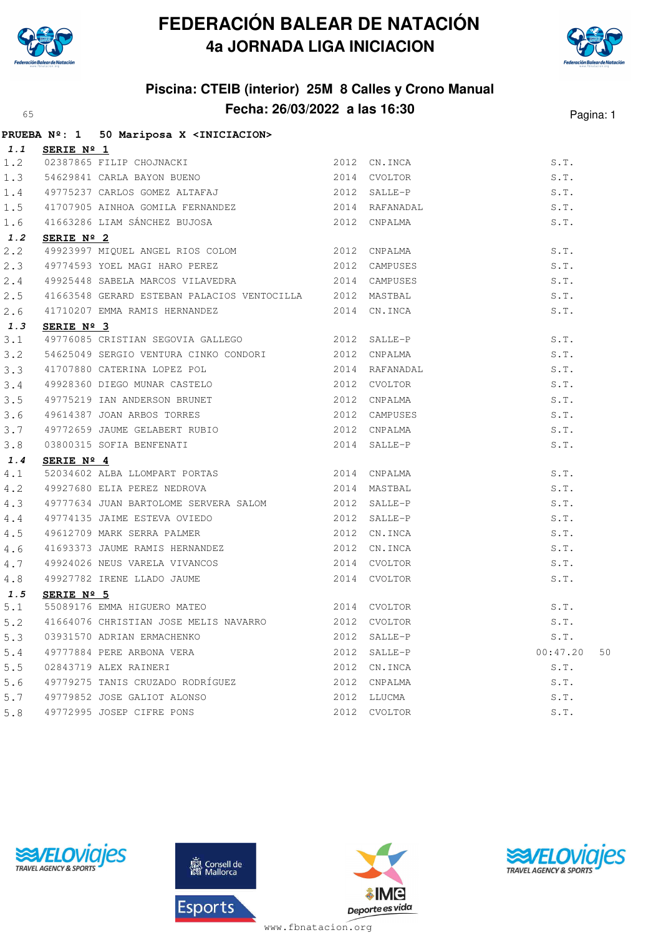

## **FEDERACIÓN BALEAR DE NATACIÓN 4a JORNADA LIGA INICIACION**



## **Piscina: CTEIB (interior) 25M 8 Calles y Crono Manual Fecha: 26/03/2022 a las 16:30** Pagina: 1

|     | PRUEBA Nº: 1 50 Mariposa X <iniciacion></iniciacion>                                                                                         |      |                                                                |                |
|-----|----------------------------------------------------------------------------------------------------------------------------------------------|------|----------------------------------------------------------------|----------------|
|     | 1.1 SERIE $N^{\circ}$ 1                                                                                                                      |      |                                                                |                |
| 1.2 |                                                                                                                                              |      |                                                                | S.T.           |
| 1.3 |                                                                                                                                              |      |                                                                | S.T.           |
| 1.4 | 3ERIE N- 1<br>02387865 FILIP CHOJNACKI 2012 CN.INCA<br>54629841 CARLA BAYON BUENO 2014 CVOLTOR<br>49775237 CARLOS GOMEZ ALTAFAJ 2012 SALLE-P |      |                                                                | S.T.           |
| 1.5 | 41707905 AINHOA GOMILA FERNANDEZ 2014 RAFANADAL                                                                                              |      |                                                                | S.T.           |
| 1.6 |                                                                                                                                              |      |                                                                | S.T.           |
| 1.2 | SERIE Nº 2                                                                                                                                   |      |                                                                |                |
| 2.2 | 49923997 MIQUEL ANGEL RIOS COLOM 2012 CNPALMA                                                                                                |      |                                                                | S.T.           |
| 2.3 | 49774593 YOEL MAGI HARO PEREZ 2012 CAMPUSES                                                                                                  |      |                                                                | S.T.           |
| 2.4 | 49925448 SABELA MARCOS VILAVEDRA 6 2014 CAMPUSES                                                                                             |      |                                                                | S.T.           |
| 2.5 | 41663548 GERARD ESTEBAN PALACIOS VENTOCILLA 2012 MASTBAL                                                                                     |      |                                                                | S.T.           |
| 2.6 | 41710207 EMMA RAMIS HERNANDEZ 2014 CN.INCA                                                                                                   |      |                                                                | S.T.           |
| 1.3 | SERIE Nº 3                                                                                                                                   |      |                                                                |                |
| 3.1 | 49776085 CRISTIAN SEGOVIA GALLEGO 2012 SALLE-P                                                                                               |      |                                                                | S.T.           |
| 3.2 | 54625049 SERGIO VENTURA CINKO CONDORI 2012 CNPALMA                                                                                           |      |                                                                | S.T.           |
| 3.3 | 41707880 CATERINA LOPEZ POL 19928360 DIEGO MUNAR CASTELO 19928360 DIEGO MUNAR CASTELO 19928360 DIEGO MUNAR CASTELO                           |      | 2012 SALLE-P<br>2012 CNPALMA<br>2014 RAFANADAL<br>2012 CVOLTOR | S.T.           |
| 3.4 |                                                                                                                                              |      |                                                                | S.T.           |
| 3.5 | 49775219 IAN ANDERSON BRUNET 2012 CNPALMA                                                                                                    |      |                                                                | S.T.           |
| 3.6 |                                                                                                                                              |      |                                                                | S.T.           |
| 3.7 | 49614387 JOAN ARBOS TORRES<br>49772659 JAUME GELABERT RUBIO<br>03800315 SOFIA BENFENATI<br>CERIF Nº 4                                        |      |                                                                | S.T.           |
| 3.8 |                                                                                                                                              |      |                                                                | S.T.           |
| 1.4 | SERIE Nº 4                                                                                                                                   |      |                                                                |                |
| 4.1 | 52034602 ALBA LLOMPART PORTAS 2014 CNPALMA                                                                                                   |      |                                                                | S.T.           |
| 4.2 | 49927680 ELIA PEREZ NEDROVA                                                                                                                  |      | 2014 MASTBAL                                                   | S.T.           |
| 4.3 | 49777634 JUAN BARTOLOME SERVERA SALOM 2012 SALLE-P                                                                                           |      |                                                                | S.T.           |
| 4.4 | 49774135 JAIME ESTEVA OVIEDO 600 2012 SALLE-P                                                                                                |      |                                                                | S.T.           |
| 4.5 | 49612709 MARK SERRA PALMER                                                                                                                   |      | 2012 CN. INCA                                                  | S.T.           |
| 4.6 | 41693373 JAUME RAMIS HERNANDEZ 2012 CN.INCA                                                                                                  |      |                                                                | S.T.           |
| 4.7 |                                                                                                                                              |      |                                                                | S.T.           |
| 4.8 | 49924026 NEUS VARELA VIVANCOS<br>49927782 IRENE LLADO JAUME 2014 CVOLTOR<br><b>SERIE Nº 5</b>                                                |      |                                                                | S.T.           |
| 1.5 |                                                                                                                                              |      |                                                                |                |
| 5.1 | SERIE Nº 5<br>55089176 EMMA HIGUERO MATEO 2014 CVOLTOR                                                                                       |      |                                                                | S.T.           |
| 5.2 | 41664076 CHRISTIAN JOSE MELIS NAVARRO 2012 CVOLTOR                                                                                           |      |                                                                | S.T.           |
| 5.3 | 03931570 ADRIAN ERMACHENKO                                                                                                                   | 2012 | SALLE-P                                                        | S.T.           |
| 5.4 | 49777884 PERE ARBONA VERA                                                                                                                    | 2012 | SALLE-P                                                        | 00:47.20<br>50 |
| 5.5 | 02843719 ALEX RAINERI                                                                                                                        | 2012 | CN.INCA                                                        | S.T.           |
| 5.6 | 49779275 TANIS CRUZADO RODRÍGUEZ                                                                                                             | 2012 | CNPALMA                                                        | S.T.           |
| 5.7 | 49779852 JOSE GALIOT ALONSO                                                                                                                  |      | 2012 LLUCMA                                                    | S.T.           |
| 5.8 | 49772995 JOSEP CIFRE PONS                                                                                                                    | 2012 | CVOLTOR                                                        | S.T.           |
|     |                                                                                                                                              |      |                                                                |                |





![](_page_0_Picture_7.jpeg)